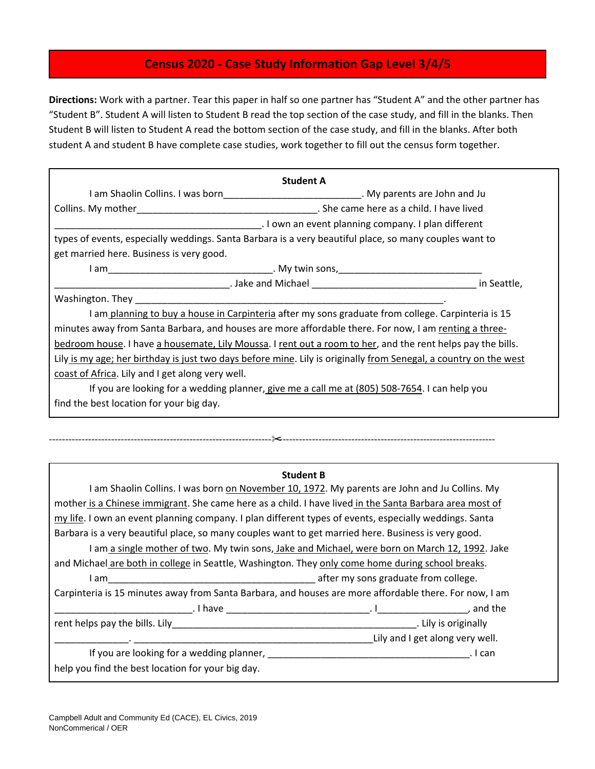## **Census 2020 - Case Study Information Gap Level 3/4/5**

**Directions:** Work with a partner. Tear this paper in half so one partner has "Student A" and the other partner has "Student B". Student A will listen to Student B read the top section of the case study, and fill in the blanks. Then Student B will listen to Student A read the bottom section of the case study, and fill in the blanks. After both student A and student B have complete case studies, work together to fill out the census form together.

|                                                                                                                   | <b>Student A</b>                                                                                  |             |
|-------------------------------------------------------------------------------------------------------------------|---------------------------------------------------------------------------------------------------|-------------|
| I am Shaolin Collins. I was born_______________________________. My parents are John and Ju                       |                                                                                                   |             |
| Collins. My mother                                                                                                | . She came here as a child. I have lived                                                          |             |
|                                                                                                                   | I own an event planning company. I plan different                                                 |             |
| types of events, especially weddings. Santa Barbara is a very beautiful place, so many couples want to            |                                                                                                   |             |
| get married here. Business is very good.                                                                          |                                                                                                   |             |
| I am                                                                                                              |                                                                                                   |             |
|                                                                                                                   | <b>Example 2018</b> Jake and Michael <b>Contract to the Contract of America</b> Contract of Table | in Seattle, |
|                                                                                                                   |                                                                                                   |             |
| I am planning to buy a house in Carpinteria after my sons graduate from college. Carpinteria is 15                |                                                                                                   |             |
| minutes away from Santa Barbara, and houses are more affordable there. For now, I am renting a three-             |                                                                                                   |             |
| bedroom house. I have a housemate, Lily Moussa. I rent out a room to her, and the rent helps pay the bills.       |                                                                                                   |             |
| Lily is my age; her birthday is just two days before mine. Lily is originally from Senegal, a country on the west |                                                                                                   |             |
| coast of Africa. Lily and I get along very well.                                                                  |                                                                                                   |             |
| If you are looking for a wedding planner, give me a call me at (805) 508-7654. I can help you                     |                                                                                                   |             |
| find the best location for your big day.                                                                          |                                                                                                   |             |
|                                                                                                                   |                                                                                                   |             |

| <b>Student B</b>                                                                                                                                                                                                               |                                      |                                 |  |
|--------------------------------------------------------------------------------------------------------------------------------------------------------------------------------------------------------------------------------|--------------------------------------|---------------------------------|--|
| I am Shaolin Collins. I was born on November 10, 1972. My parents are John and Ju Collins. My                                                                                                                                  |                                      |                                 |  |
| mother is a Chinese immigrant. She came here as a child. I have lived in the Santa Barbara area most of                                                                                                                        |                                      |                                 |  |
| my life. I own an event planning company. I plan different types of events, especially weddings. Santa                                                                                                                         |                                      |                                 |  |
| Barbara is a very beautiful place, so many couples want to get married here. Business is very good.                                                                                                                            |                                      |                                 |  |
| I am a single mother of two. My twin sons, Jake and Michael, were born on March 12, 1992. Jake                                                                                                                                 |                                      |                                 |  |
| and Michael are both in college in Seattle, Washington. They only come home during school breaks.                                                                                                                              |                                      |                                 |  |
| I am                                                                                                                                                                                                                           | after my sons graduate from college. |                                 |  |
| Carpinteria is 15 minutes away from Santa Barbara, and houses are more affordable there. For now, I am                                                                                                                         |                                      |                                 |  |
|                                                                                                                                                                                                                                |                                      |                                 |  |
|                                                                                                                                                                                                                                |                                      |                                 |  |
|                                                                                                                                                                                                                                |                                      | Lily and I get along very well. |  |
| If you are looking for a wedding planner, Languard and the control of the control of the control of the control of the control of the control of the control of the control of the control of the control of the control of th |                                      | . I can                         |  |
| help you find the best location for your big day.                                                                                                                                                                              |                                      |                                 |  |

--------------------------------------------------------------------✂------------------------------------------------------------------